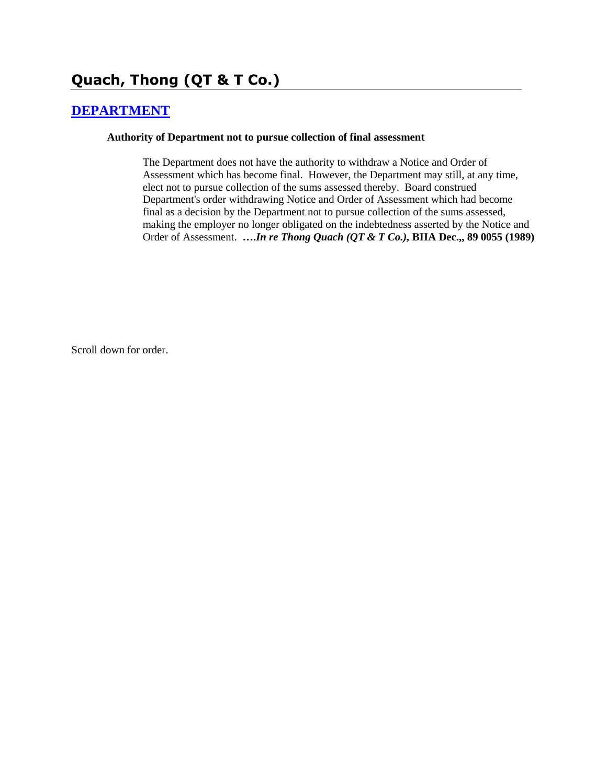# **Quach, Thong (QT & T Co.)**

### **[DEPARTMENT](http://www.biia.wa.gov/SDSubjectIndex.html#DEPARTMENT)**

#### **Authority of Department not to pursue collection of final assessment**

The Department does not have the authority to withdraw a Notice and Order of Assessment which has become final. However, the Department may still, at any time, elect not to pursue collection of the sums assessed thereby. Board construed Department's order withdrawing Notice and Order of Assessment which had become final as a decision by the Department not to pursue collection of the sums assessed, making the employer no longer obligated on the indebtedness asserted by the Notice and Order of Assessment. **….***In re Thong Quach (QT & T Co.),* **BIIA Dec.,, 89 0055 (1989)** 

Scroll down for order.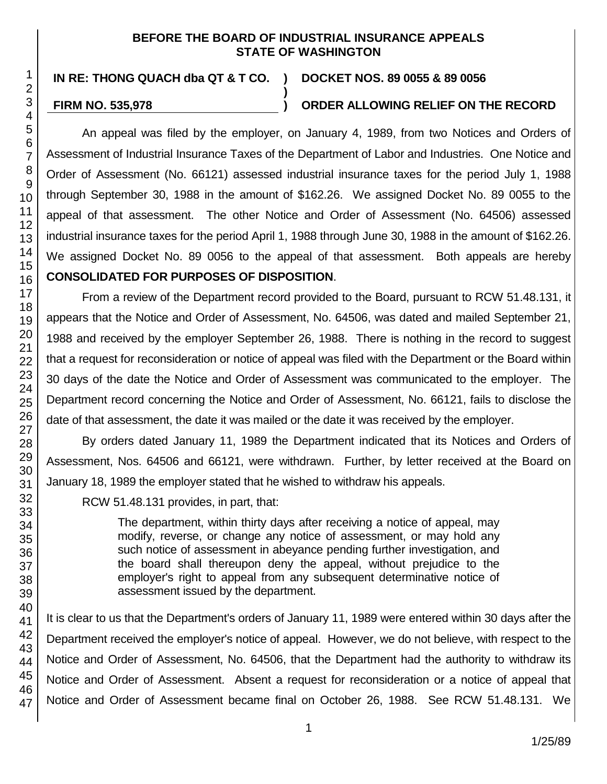### **BEFORE THE BOARD OF INDUSTRIAL INSURANCE APPEALS STATE OF WASHINGTON**

**)**

**IN RE: THONG QUACH dba QT & T CO. ) DOCKET NOS. 89 0055 & 89 0056**

## **FIRM NO. 535,978 ) ORDER ALLOWING RELIEF ON THE RECORD**

An appeal was filed by the employer, on January 4, 1989, from two Notices and Orders of Assessment of Industrial Insurance Taxes of the Department of Labor and Industries. One Notice and Order of Assessment (No. 66121) assessed industrial insurance taxes for the period July 1, 1988 through September 30, 1988 in the amount of \$162.26. We assigned Docket No. 89 0055 to the appeal of that assessment. The other Notice and Order of Assessment (No. 64506) assessed industrial insurance taxes for the period April 1, 1988 through June 30, 1988 in the amount of \$162.26. We assigned Docket No. 89 0056 to the appeal of that assessment. Both appeals are hereby **CONSOLIDATED FOR PURPOSES OF DISPOSITION**.

From a review of the Department record provided to the Board, pursuant to RCW 51.48.131, it appears that the Notice and Order of Assessment, No. 64506, was dated and mailed September 21, 1988 and received by the employer September 26, 1988. There is nothing in the record to suggest that a request for reconsideration or notice of appeal was filed with the Department or the Board within 30 days of the date the Notice and Order of Assessment was communicated to the employer. The Department record concerning the Notice and Order of Assessment, No. 66121, fails to disclose the date of that assessment, the date it was mailed or the date it was received by the employer.

By orders dated January 11, 1989 the Department indicated that its Notices and Orders of Assessment, Nos. 64506 and 66121, were withdrawn. Further, by letter received at the Board on January 18, 1989 the employer stated that he wished to withdraw his appeals.

RCW 51.48.131 provides, in part, that:

The department, within thirty days after receiving a notice of appeal, may modify, reverse, or change any notice of assessment, or may hold any such notice of assessment in abeyance pending further investigation, and the board shall thereupon deny the appeal, without prejudice to the employer's right to appeal from any subsequent determinative notice of assessment issued by the department.

It is clear to us that the Department's orders of January 11, 1989 were entered within 30 days after the Department received the employer's notice of appeal. However, we do not believe, with respect to the Notice and Order of Assessment, No. 64506, that the Department had the authority to withdraw its Notice and Order of Assessment. Absent a request for reconsideration or a notice of appeal that Notice and Order of Assessment became final on October 26, 1988. See RCW 51.48.131. We